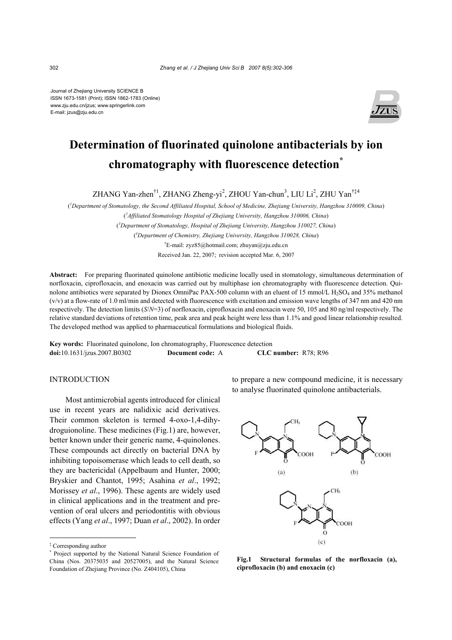Journal of Zhejiang University SCIENCE B ISSN 1673-1581 (Print); ISSN 1862-1783 (Online) www.zju.edu.cn/jzus; www.springerlink.com E-mail: jzus@zju.edu.cn



# **Determination of fluorinated quinolone antibacterials by ion chromatography with fluorescence detection\***

ZHANG Yan-zhen<sup>†1</sup>, ZHANG Zheng-yi<sup>2</sup>, ZHOU Yan-chun<sup>3</sup>, LIU Li<sup>2</sup>, ZHU Yan<sup>†‡4</sup>

( *1 Department of Stomatology, the Second Affiliated Hospital, School of Medicine, Zhejiang University, Hangzhou 310009, China*) ( *2 Affiliated Stomatology Hospital of Zhejiang University, Hangzhou 310006, China*) ( *3 Department of Stomatology, Hospital of Zhejiang University, Hangzhou 310027, China*) ( *4 Department of Chemistry, Zhejiang University, Hangzhou 310028, China*)

† E-mail: zyz85@hotmail.com; zhuyan@zju.edu.cn Received Jan. 22, 2007; revision accepted Mar. 6, 2007

**Abstract:** For preparing fluorinated quinolone antibiotic medicine locally used in stomatology, simultaneous determination of norfloxacin, ciprofloxacin, and enoxacin was carried out by multiphase ion chromatography with fluorescence detection. Quinolone antibiotics were separated by Dionex OmniPac PAX-500 column with an eluent of 15 mmol/L H<sub>2</sub>SO<sub>4</sub> and 35% methanol (v/v) at a flow-rate of 1.0 ml/min and detected with fluorescence with excitation and emission wave lengths of 347 nm and 420 nm respectively. The detection limits (*S*/*N*=3) of norfloxacin, ciprofloxacin and enoxacin were 50, 105 and 80 ng/ml respectively. The relative standard deviations of retention time, peak area and peak height were less than 1.1% and good linear relationship resulted. The developed method was applied to pharmaceutical formulations and biological fluids.

**Key words:** Fluorinated quinolone, Ion chromatography, Fluorescence detection **doi:**10.1631/jzus.2007.B0302 **Document code:** A **CLC number:** R78; R96

# INTRODUCTION

Most antimicrobial agents introduced for clinical use in recent years are nalidixic acid derivatives. Their common skeleton is termed 4-oxo-1,4-dihydroguionoline. These medicines (Fig.1) are, however, better known under their generic name, 4-quinolones. These compounds act directly on bacterial DNA by inhibiting topoisomerase which leads to cell death, so they are bactericidal (Appelbaum and Hunter, 2000; Bryskier and Chantot, 1995; Asahina *et al*., 1992; Morissey *et al*., 1996). These agents are widely used in clinical applications and in the treatment and prevention of oral ulcers and periodontitis with obvious effects (Yang *et al*., 1997; Duan *et al*., 2002). In order to prepare a new compound medicine, it is necessary to analyse fluorinated quinolone antibacterials.



**Fig.1 Structural formulas of the norfloxacin (a), ciprofloxacin (b) and enoxacin (c)**

<sup>‡</sup> Corresponding author

<sup>\*</sup> Project supported by the National Natural Science Foundation of China (Nos. 20375035 and 20527005), and the Natural Science Foundation of Zhejiang Province (No. Z404105), China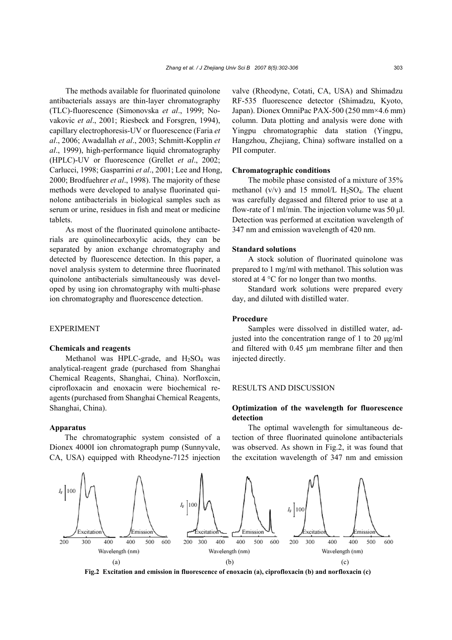The methods available for fluorinated quinolone antibacterials assays are thin-layer chromatography (TLC)-fluorescence (Simonovska *et al*., 1999; Novakovic *et al*., 2001; Riesbeck and Forsgren, 1994), capillary electrophoresis-UV or fluorescence (Faria *et al*., 2006; Awadallah *et al*., 2003; Schmitt-Kopplin *et al*., 1999), high-performance liquid chromatography (HPLC)-UV or fluorescence (Grellet *et al*., 2002; Carlucci, 1998; Gasparrini *et al*., 2001; Lee and Hong, 2000; Brodfuehrer *et al*., 1998). The majority of these methods were developed to analyse fluorinated quinolone antibacterials in biological samples such as serum or urine, residues in fish and meat or medicine tablets.

As most of the fluorinated quinolone antibacterials are quinolinecarboxylic acids, they can be separated by anion exchange chromatography and detected by fluorescence detection. In this paper, a novel analysis system to determine three fluorinated quinolone antibacterials simultaneously was developed by using ion chromatography with multi-phase ion chromatography and fluorescence detection.

## EXPERIMENT

## **Chemicals and reagents**

Methanol was HPLC-grade, and  $H_2SO_4$  was analytical-reagent grade (purchased from Shanghai Chemical Reagents, Shanghai, China). Norfloxcin, ciprofloxacin and enoxacin were biochemical reagents (purchased from Shanghai Chemical Reagents, Shanghai, China).

#### **Apparatus**

The chromatographic system consisted of a Dionex 4000I ion chromatograph pump (Sunnyvale, CA, USA) equipped with Rheodyne-7125 injection valve (Rheodyne, Cotati, CA, USA) and Shimadzu RF-535 fluorescence detector (Shimadzu, Kyoto, Japan). Dionex OmniPac PAX-500 (250 mm×4.6 mm) column. Data plotting and analysis were done with Yingpu chromatographic data station (Yingpu, Hangzhou, Zhejiang, China) software installed on a PII computer.

#### **Chromatographic conditions**

The mobile phase consisted of a mixture of 35% methanol ( $v/v$ ) and 15 mmol/L  $H<sub>2</sub>SO<sub>4</sub>$ . The eluent was carefully degassed and filtered prior to use at a flow-rate of 1 ml/min. The injection volume was 50  $\mu$ l. Detection was performed at excitation wavelength of 347 nm and emission wavelength of 420 nm.

#### **Standard solutions**

A stock solution of fluorinated quinolone was prepared to 1 mg/ml with methanol. This solution was stored at 4 °C for no longer than two months.

Standard work solutions were prepared every day, and diluted with distilled water.

## **Procedure**

Samples were dissolved in distilled water, adjusted into the concentration range of 1 to 20  $\mu$ g/ml and filtered with 0.45 µm membrane filter and then injected directly.

## RESULTS AND DISCUSSION

# **Optimization of the wavelength for fluorescence detection**

The optimal wavelength for simultaneous detection of three fluorinated quinolone antibacterials was observed. As shown in Fig.2, it was found that the excitation wavelength of 347 nm and emission



**Fig.2 Excitation and emission in fluorescence of enoxacin (a), ciprofloxacin (b) and norfloxacin (c)**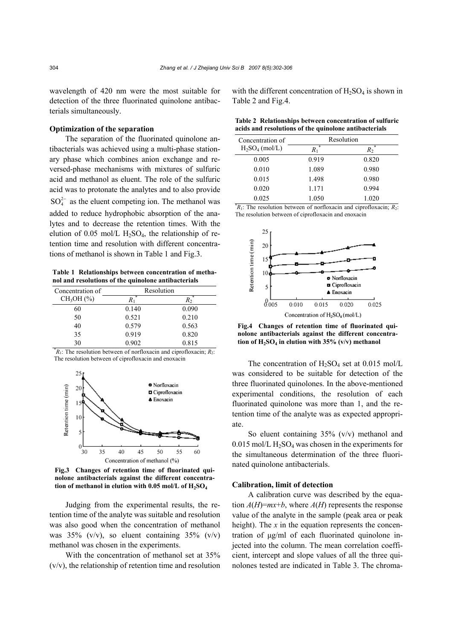wavelength of 420 nm were the most suitable for detection of the three fluorinated quinolone antibacterials simultaneously.

# **Optimization of the separation**

The separation of the fluorinated quinolone antibacterials was achieved using a multi-phase stationary phase which combines anion exchange and reversed-phase mechanisms with mixtures of sulfuric acid and methanol as eluent. The role of the sulfuric acid was to protonate the analytes and to also provide  $SO_4^{2-}$  as the eluent competing ion. The methanol was added to reduce hydrophobic absorption of the analytes and to decrease the retention times. With the elution of 0.05 mol/L  $H_2SO_4$ , the relationship of retention time and resolution with different concentrations of methanol is shown in Table 1 and Fig.3.

**Table 1 Relationships between concentration of methanol and resolutions of the quinolone antibacterials**

| Concentration of                                                         | Resolution |         |  |
|--------------------------------------------------------------------------|------------|---------|--|
| CH <sub>3</sub> OH (%)                                                   | $R_1$      | $R_{2}$ |  |
| 60                                                                       | 0.140      | 0.090   |  |
| 50                                                                       | 0.521      | 0.210   |  |
| 40                                                                       | 0.579      | 0.563   |  |
| 35                                                                       | 0.919      | 0.820   |  |
| 30                                                                       | 0.902      | 0.815   |  |
| $R_1$ : The resolution between of norfloxacin and ciprofloxacin; $R_2$ : |            |         |  |

The resolution between of ciprofloxacin and enoxacin



**Fig.3 Changes of retention time of fluorinated quinolone antibacterials against the different concentra**tion of methanol in elution with 0.05 mol/L of H<sub>2</sub>SO<sub>4</sub>

Judging from the experimental results, the retention time of the analyte was suitable and resolution was also good when the concentration of methanol was  $35\%$  (v/v), so eluent containing  $35\%$  (v/v) methanol was chosen in the experiments.

With the concentration of methanol set at 35% (v/v), the relationship of retention time and resolution with the different concentration of  $H_2SO_4$  is shown in Table 2 and Fig.4.

| Table 2 Relationships between concentration of sulfuric |  |
|---------------------------------------------------------|--|
| acids and resolutions of the quinolone antibacterials   |  |

| Concentration of                                                             | Resolution |       |
|------------------------------------------------------------------------------|------------|-------|
| $H_2SO_4$ (mol/L)                                                            | $R_{1}$    | $R_2$ |
| 0.005                                                                        | 0.919      | 0.820 |
| 0.010                                                                        | 1.089      | 0.980 |
| 0.015                                                                        | 1.498      | 0.980 |
| 0.020                                                                        | 1.171      | 0.994 |
| 0.025                                                                        | 1.050      | 1.020 |
| ${}^*R_1$ : The resolution between of norfloxacin and ciprofloxacin; $R_2$ : |            |       |

The resolution between of ciprofloxacin and enoxacin



**Fig.4 Changes of retention time of fluorinated quinolone antibacterials against the different concentra**tion of H<sub>2</sub>SO<sub>4</sub> in elution with 35% (v/v) methanol

The concentration of  $H_2SO_4$  set at 0.015 mol/L was considered to be suitable for detection of the three fluorinated quinolones. In the above-mentioned experimental conditions, the resolution of each fluorinated quinolone was more than 1, and the retention time of the analyte was as expected appropriate.

So eluent containing 35% (v/v) methanol and  $0.015$  mol/L H<sub>2</sub>SO<sub>4</sub> was chosen in the experiments for the simultaneous determination of the three fluorinated quinolone antibacterials.

#### **Calibration, limit of detection**

A calibration curve was described by the equation  $A(H)=mx+b$ , where  $A(H)$  represents the response value of the analyte in the sample (peak area or peak height). The *x* in the equation represents the concentration of µg/ml of each fluorinated quinolone injected into the column. The mean correlation coefficient, intercept and slope values of all the three quinolones tested are indicated in Table 3. The chroma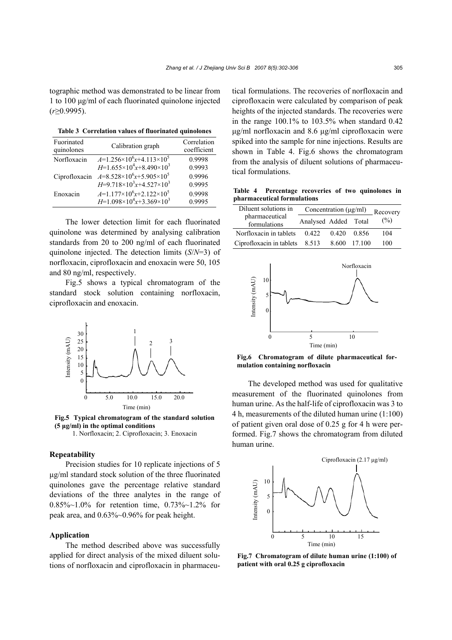tographic method was demonstrated to be linear from 1 to 100 µg/ml of each fluorinated quinolone injected (*r*≥0.9995).

**Table 3 Correlation values of fluorinated quinolones**

| Fuorinated<br>quinolones | Calibration graph                        | Correlation<br>coefficient |
|--------------------------|------------------------------------------|----------------------------|
| Norfloxacin              | $A=1.256\times10^{6}x+4.113\times10^{5}$ | 0.9998                     |
|                          | $H=1.655\times10^{4}x+8.490\times10^{3}$ | 0.9993                     |
| Ciprofloxacin            | $A=8.528\times10^{6}x+5.905\times10^{5}$ | 0.9996                     |
|                          | $H=9.718\times10^{3}x+4.527\times10^{3}$ | 0.9995                     |
| Enoxacin                 | $A=1.177\times10^{6}x+2.122\times10^{5}$ | 0.9998                     |
|                          | $H=1.098\times10^4x+3.369\times10^3$     | 0 9 9 9 5                  |

The lower detection limit for each fluorinated quinolone was determined by analysing calibration standards from 20 to 200 ng/ml of each fluorinated quinolone injected. The detection limits (*S*/*N*=3) of norfloxacin, ciprofloxacin and enoxacin were 50, 105 and 80 ng/ml, respectively.

Fig.5 shows a typical chromatogram of the standard stock solution containing norfloxacin, ciprofloxacin and enoxacin.



**Fig.5 Typical chromatogram of the standard solution (5 µg/ml) in the optimal conditions** 

1. Norfloxacin; 2. Ciprofloxacin; 3. Enoxacin

# **Repeatability**

Precision studies for 10 replicate injections of 5 µg/ml standard stock solution of the three fluorinated quinolones gave the percentage relative standard deviations of the three analytes in the range of 0.85%~1.0% for retention time, 0.73%~1.2% for peak area, and 0.63%~0.96% for peak height.

# **Application**

The method described above was successfully applied for direct analysis of the mixed diluent solutions of norfloxacin and ciprofloxacin in pharmaceutical formulations. The recoveries of norfloxacin and ciprofloxacin were calculated by comparison of peak heights of the injected standards. The recoveries were in the range  $100.1\%$  to  $103.5\%$  when standard  $0.42$ µg/ml norfloxacin and 8.6 µg/ml ciprofloxacin were spiked into the sample for nine injections. Results are shown in Table 4. Fig.6 shows the chromatogram from the analysis of diluent solutions of pharmaceutical formulations.

**Table 4 Percentage recoveries of two quinolones in pharmaceutical formulations**

| Diluent solutions in           | Concentration $(\mu g/ml)$ |       |        | Recovery |
|--------------------------------|----------------------------|-------|--------|----------|
| pharmaceutical<br>formulations | Analysed Added Total       |       |        | (%)      |
| Norfloxacin in tablets         | 0.422                      | 0.420 | 0.856  | 104      |
| Ciprofloxacin in tablets       | 8.513                      | 8.600 | 17.100 | 100      |



**Fig.6 Chromatogram of dilute pharmaceutical formulation containing norfloxacin**

The developed method was used for qualitative measurement of the fluorinated quinolones from human urine. As the half-life of ciprofloxacin was 3 to 4 h, measurements of the diluted human urine (1:100) of patient given oral dose of 0.25 g for 4 h were performed. Fig.7 shows the chromatogram from diluted human urine.



**Fig.7 Chromatogram of dilute human urine (1:100) of patient with oral 0.25 g ciprofloxacin**